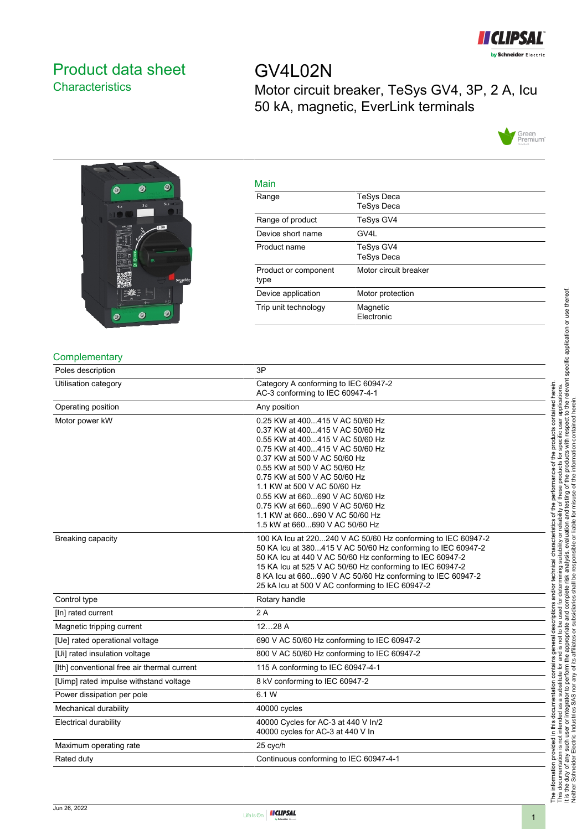

## <span id="page-0-0"></span>Product data sheet **Characteristics**

GV4L02N Motor circuit breaker, TeSys GV4, 3P, 2 A, Icu 50 kA, magnetic, EverLink terminals





| Main                         |                                 |
|------------------------------|---------------------------------|
| Range                        | TeSys Deca<br><b>TeSys Deca</b> |
| Range of product             | TeSys GV4                       |
| Device short name            | GV4L                            |
| Product name                 | TeSys GV4<br><b>TeSys Deca</b>  |
| Product or component<br>type | Motor circuit breaker           |
| Device application           | Motor protection                |
| Trip unit technology         | Magnetic<br>Electronic          |

#### **Complementary**

| Poles description                           | 3P                                                                                                                                                                                                                                                                                                                                                                                                                |  |  |  |
|---------------------------------------------|-------------------------------------------------------------------------------------------------------------------------------------------------------------------------------------------------------------------------------------------------------------------------------------------------------------------------------------------------------------------------------------------------------------------|--|--|--|
| Utilisation category                        | Category A conforming to IEC 60947-2<br>AC-3 conforming to IEC 60947-4-1                                                                                                                                                                                                                                                                                                                                          |  |  |  |
| Operating position                          | Any position                                                                                                                                                                                                                                                                                                                                                                                                      |  |  |  |
| Motor power kW                              | 0.25 KW at 400415 V AC 50/60 Hz<br>0.37 KW at 400415 V AC 50/60 Hz<br>0.55 KW at 400415 V AC 50/60 Hz<br>0.75 KW at 400415 V AC 50/60 Hz<br>0.37 KW at 500 V AC 50/60 Hz<br>0.55 KW at 500 V AC 50/60 Hz<br>0.75 KW at 500 V AC 50/60 Hz<br>1.1 KW at 500 V AC 50/60 Hz<br>0.55 KW at 660690 V AC 50/60 Hz<br>0.75 KW at 660690 V AC 50/60 Hz<br>1.1 KW at 660690 V AC 50/60 Hz<br>1.5 kW at 660690 V AC 50/60 Hz |  |  |  |
| <b>Breaking capacity</b>                    | 100 KA Icu at 220240 V AC 50/60 Hz conforming to IEC 60947-2<br>50 KA Icu at 380415 V AC 50/60 Hz conforming to IEC 60947-2<br>50 KA Icu at 440 V AC 50/60 Hz conforming to IEC 60947-2<br>15 KA Icu at 525 V AC 50/60 Hz conforming to IEC 60947-2<br>8 KA Icu at 660690 V AC 50/60 Hz conforming to IEC 60947-2<br>25 kA Icu at 500 V AC conforming to IEC 60947-2                                              |  |  |  |
| Control type                                | Rotary handle                                                                                                                                                                                                                                                                                                                                                                                                     |  |  |  |
| [In] rated current                          | 2A                                                                                                                                                                                                                                                                                                                                                                                                                |  |  |  |
| Magnetic tripping current                   | 1228A                                                                                                                                                                                                                                                                                                                                                                                                             |  |  |  |
| [Ue] rated operational voltage              | 690 V AC 50/60 Hz conforming to IEC 60947-2                                                                                                                                                                                                                                                                                                                                                                       |  |  |  |
| [Ui] rated insulation voltage               | 800 V AC 50/60 Hz conforming to IEC 60947-2                                                                                                                                                                                                                                                                                                                                                                       |  |  |  |
| [Ith] conventional free air thermal current | 115 A conforming to IEC 60947-4-1                                                                                                                                                                                                                                                                                                                                                                                 |  |  |  |
| [Uimp] rated impulse withstand voltage      | 8 kV conforming to IEC 60947-2                                                                                                                                                                                                                                                                                                                                                                                    |  |  |  |
| Power dissipation per pole                  | 6.1 W                                                                                                                                                                                                                                                                                                                                                                                                             |  |  |  |
| Mechanical durability                       | 40000 cycles                                                                                                                                                                                                                                                                                                                                                                                                      |  |  |  |
| <b>Electrical durability</b>                | 40000 Cycles for AC-3 at 440 V In/2<br>40000 cycles for AC-3 at 440 V In                                                                                                                                                                                                                                                                                                                                          |  |  |  |
| Maximum operating rate                      | 25 cyc/h                                                                                                                                                                                                                                                                                                                                                                                                          |  |  |  |
| Rated duty                                  | Continuous conforming to IEC 60947-4-1                                                                                                                                                                                                                                                                                                                                                                            |  |  |  |

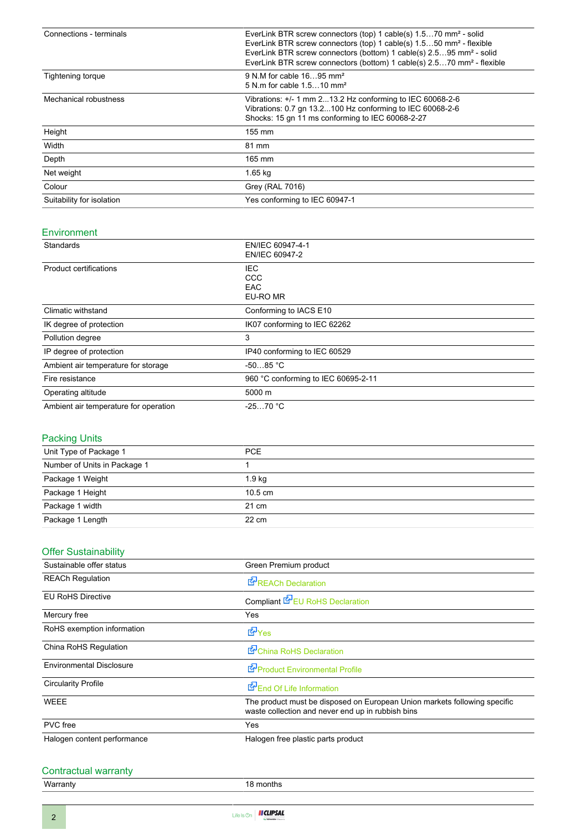| Connections - terminals   | EverLink BTR screw connectors (top) 1 cable(s) 1.570 mm <sup>2</sup> - solid<br>EverLink BTR screw connectors (top) 1 cable(s) 1.550 mm <sup>2</sup> - flexible<br>EverLink BTR screw connectors (bottom) 1 cable(s) 2.595 mm <sup>2</sup> - solid<br>EverLink BTR screw connectors (bottom) 1 cable(s) 2.570 mm <sup>2</sup> - flexible |  |  |  |
|---------------------------|------------------------------------------------------------------------------------------------------------------------------------------------------------------------------------------------------------------------------------------------------------------------------------------------------------------------------------------|--|--|--|
| Tightening torque         | 9 N.M for cable 1695 mm <sup>2</sup><br>5 N m for cable 1.510 mm <sup>2</sup>                                                                                                                                                                                                                                                            |  |  |  |
| Mechanical robustness     | Vibrations: +/- 1 mm 213.2 Hz conforming to IEC 60068-2-6<br>Vibrations: 0.7 gn 13.2100 Hz conforming to IEC 60068-2-6<br>Shocks: 15 gn 11 ms conforming to IEC 60068-2-27                                                                                                                                                               |  |  |  |
| Height                    | $155 \text{ mm}$                                                                                                                                                                                                                                                                                                                         |  |  |  |
| Width                     | 81 mm                                                                                                                                                                                                                                                                                                                                    |  |  |  |
| Depth                     | 165 mm                                                                                                                                                                                                                                                                                                                                   |  |  |  |
| Net weight                | $1.65$ kg                                                                                                                                                                                                                                                                                                                                |  |  |  |
| Colour                    | Grey (RAL 7016)                                                                                                                                                                                                                                                                                                                          |  |  |  |
| Suitability for isolation | Yes conforming to IEC 60947-1                                                                                                                                                                                                                                                                                                            |  |  |  |

#### Environment

| Standards                             | EN/IEC 60947-4-1<br>EN/IEC 60947-2    |  |  |
|---------------------------------------|---------------------------------------|--|--|
| Product certifications                | IEC.<br>CCC<br><b>EAC</b><br>EU-RO MR |  |  |
| Climatic withstand                    | Conforming to IACS E10                |  |  |
| IK degree of protection               | IK07 conforming to IEC 62262          |  |  |
| Pollution degree                      | 3                                     |  |  |
| IP degree of protection               | IP40 conforming to IEC 60529          |  |  |
| Ambient air temperature for storage   | $-5085 °C$                            |  |  |
| Fire resistance                       | 960 °C conforming to IEC 60695-2-11   |  |  |
| Operating altitude                    | 5000 m                                |  |  |
| Ambient air temperature for operation | $-2570 °C$                            |  |  |

#### Packing Units

| Unit Type of Package 1       | PCE               |  |
|------------------------------|-------------------|--|
| Number of Units in Package 1 |                   |  |
| Package 1 Weight             | 1.9 <sub>kq</sub> |  |
| Package 1 Height             | $10.5 \text{ cm}$ |  |
| Package 1 width              | $21 \text{ cm}$   |  |
| Package 1 Length             | $22 \text{ cm}$   |  |
|                              |                   |  |

## **Offer Sustainability**

| Sustainable offer status        | Green Premium product                                                                                                          |  |  |  |
|---------------------------------|--------------------------------------------------------------------------------------------------------------------------------|--|--|--|
| <b>REACh Regulation</b>         | <b>E</b> REACh Declaration                                                                                                     |  |  |  |
| <b>EU RoHS Directive</b>        | Compliant E EU RoHS Declaration                                                                                                |  |  |  |
| Mercury free                    | Yes                                                                                                                            |  |  |  |
| RoHS exemption information      | d Yes                                                                                                                          |  |  |  |
| China RoHS Regulation           | China RoHS Declaration                                                                                                         |  |  |  |
| <b>Environmental Disclosure</b> | Product Environmental Profile                                                                                                  |  |  |  |
| <b>Circularity Profile</b>      | End Of Life Information                                                                                                        |  |  |  |
| WEEE                            | The product must be disposed on European Union markets following specific<br>waste collection and never end up in rubbish bins |  |  |  |
| PVC free                        | Yes                                                                                                                            |  |  |  |
| Halogen content performance     | Halogen free plastic parts product                                                                                             |  |  |  |

# Contractual warranty<br>Warranty

18 months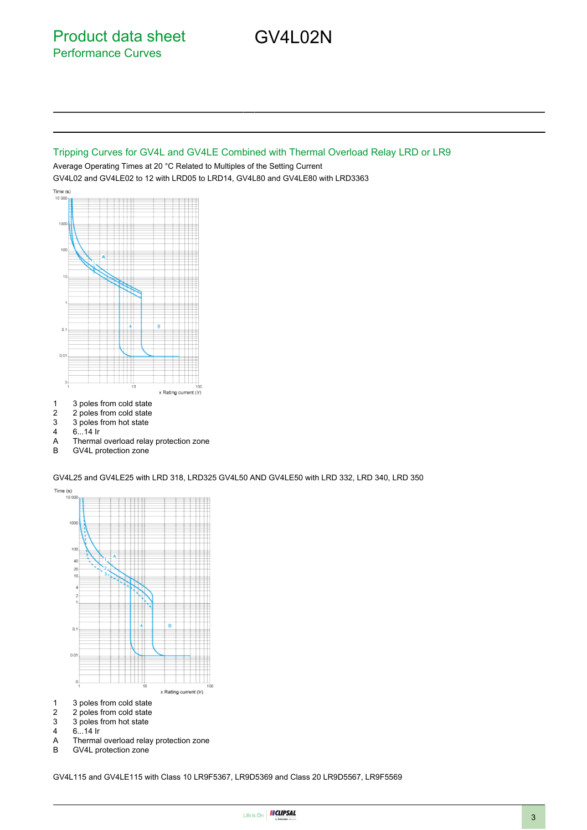Product data sheet Performance Curves

#### Tripping Curves for GV4L and GV4LE Combined with Thermal Overload Relay LRD or LR9

GV4L02N

Average Operating Times at 20 °C Related to Multiples of the Setting Current GV4L02 and GV4LE02 to 12 with LRD05 to LRD14, GV4L80 and GV4LE80 with LRD3363 Time  $(s)$ 



- 1 3 poles from cold state
- 2 2 poles from cold state<br>3 3 poles from hot state
- 3 3 poles from hot state<br>4 6...14 lr
- $6...14$  Ir
- A Thermal overload relay protection zone<br>B GV4L protection zone
- GV4L protection zone

GV4L25 and GV4LE25 with LRD 318, LRD325 GV4L50 AND GV4LE50 with LRD 332, LRD 340, LRD 350

Time  $(s)$ 10.00 100 100 ĸ  $\overline{\mathbf{z}}$  $\alpha$  $0.01$  $\boldsymbol{0}$ x Rating current (Ir) 1 3 poles from cold state

- 
- 2 2 poles from cold state<br>3 3 poles from hot state 3 3 poles from hot state<br>4 6...14 lr
- $6.14$  Ir
- A Thermal overload relay protection zone<br>B GV4L protection zone
- GV4L protection zone

GV4L115 and GV4LE115 with Class 10 LR9F5367, LR9D5369 and Class 20 LR9D5567, LR9F5569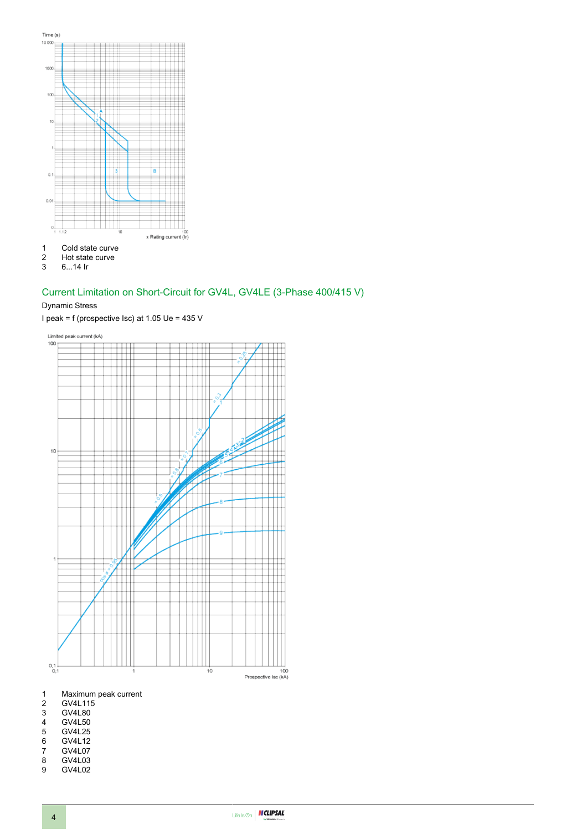





#### Current Limitation on Short-Circuit for GV4L, GV4LE (3-Phase 400/415 V)

#### Dynamic Stress

I peak = f (prospective Isc) at 1.05 Ue = 435 V





1 Maximum peak current<br>2 GV4L115

- 
- 2 GV4L115<br>3 GV4L80<br>4 GV4L50 GV4L80
- 4 GV4L50
- 5 GV4L25<br>6 GV4L12
- 6 GV4L12<br>7 GV4L07
- 7 GV4L07<br>8 GV4L03
- 8 GV4L03<br>9 GV4L02 GV4L02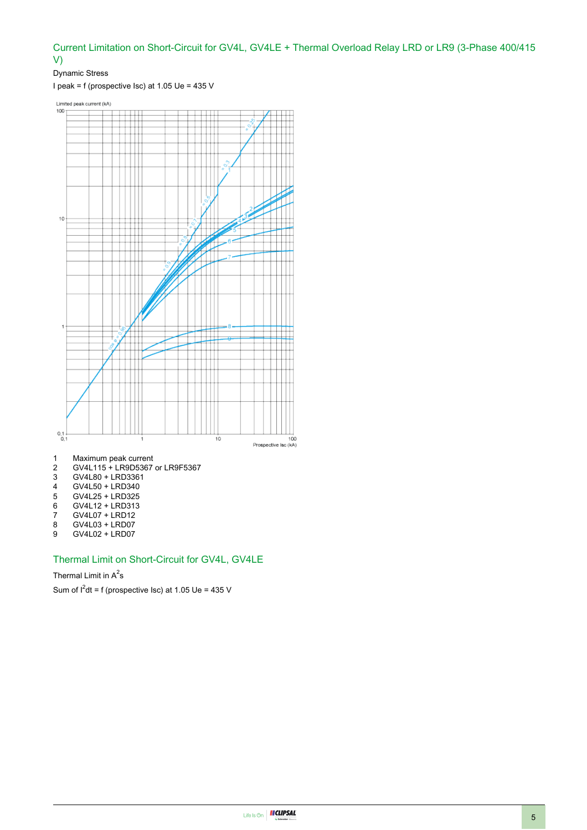#### Current Limitation on Short-Circuit for GV4L, GV4LE + Thermal Overload Relay LRD or LR9 (3-Phase 400/415 V)

Dynamic Stress

I peak = f (prospective Isc) at 1.05 Ue = 435 V

Limited peak current (kA)



- 
- 4 GV4L50 + LRD340<br>5 GV4L25 + LRD325 5 GV4L25 + LRD325
- 
- 6 GV4L12 + LRD313<br>7 GV4L07 + LRD12
- 7 GV4L07 + LRD12<br>8 GV4L03 + LRD07
- 8 GV4L03 + LRD07<br>9 GV4L02 + LRD07
- GV4L02 + LRD07

### Thermal Limit on Short-Circuit for GV4L, GV4LE

#### Thermal Limit in  $A^2$ s

Sum of  $I^2$ dt = f (prospective Isc) at 1.05 Ue = 435 V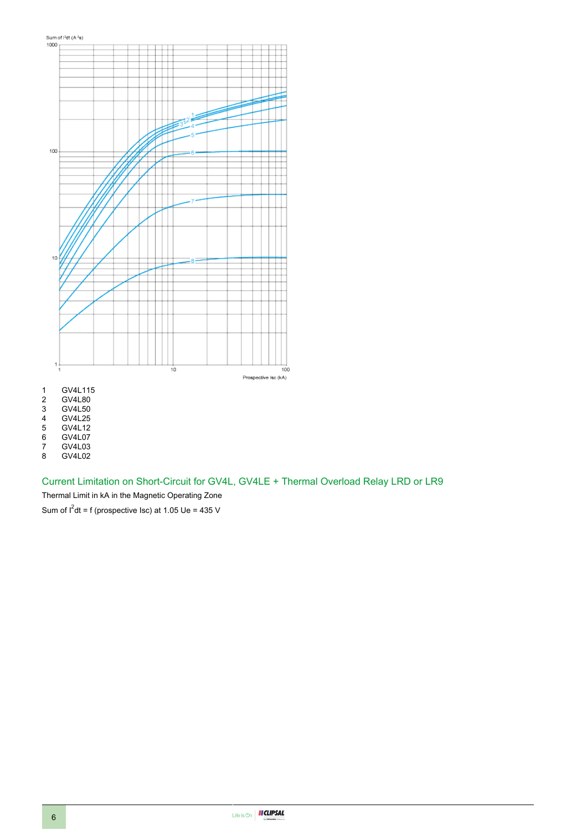

GV4L80

3 GV4L50<br>4 GV4L25

4 GV4L25<br>5 GV4L12

5 GV4L12

6 GV4L07<br>7 GV4L03

7 GV4L03 8 GV4L02

Current Limitation on Short-Circuit for GV4L, GV4LE + Thermal Overload Relay LRD or LR9

Thermal Limit in kA in the Magnetic Operating Zone

Sum of  $I^2$ dt = f (prospective Isc) at 1.05 Ue = 435 V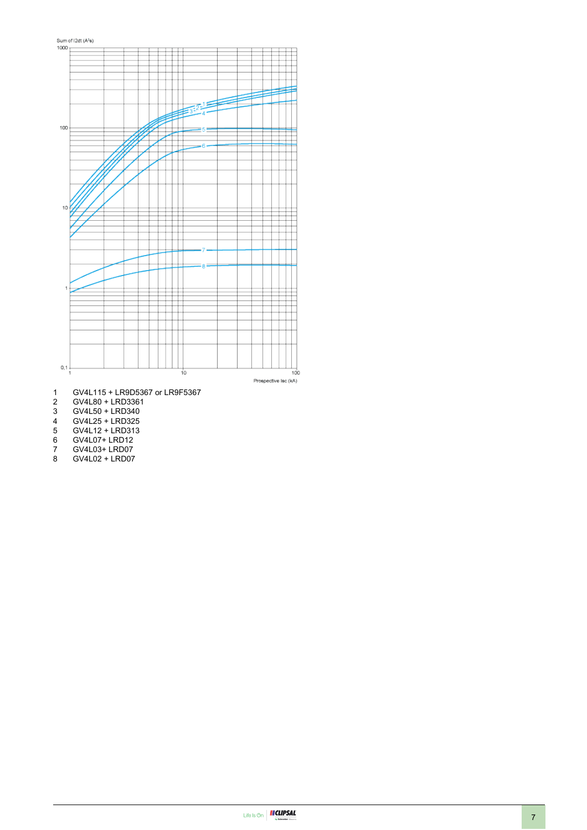

- 1 GV4L115 + LR9D5367 or LR9F5367
- 2 GV4L80 + LRD3361<br>3 GV4L50 + LRD340
- 3 GV4L50 + LRD340<br>4 GV4L25 + LRD325<br>5 GV4L12 + LRD313
- 4 GV4L25 + LRD325
- 5 GV4L12 + LRD313
- 6 GV4L07+ LRD12
- 7 GV4L03+ LRD07<br>8 GV4L02 + LRD07
- 8 GV4L02 + LRD07

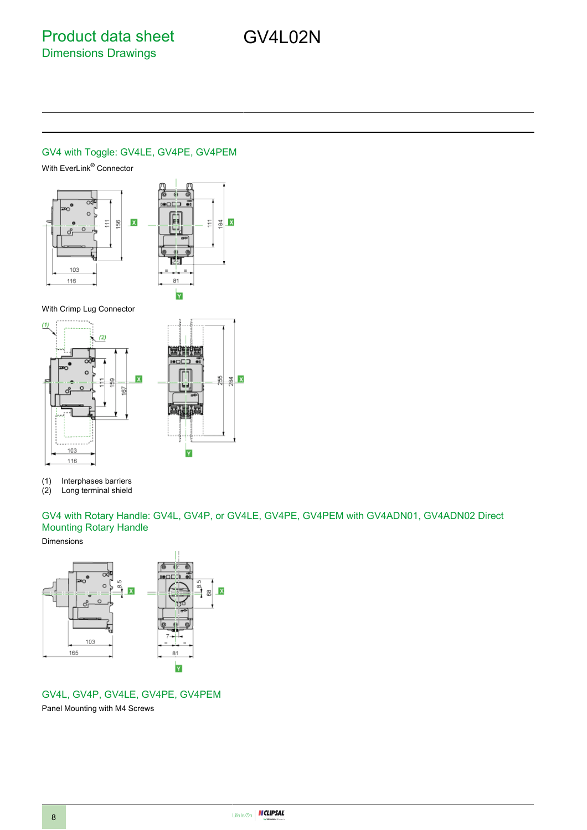## GV4L02N

#### GV4 with Toggle: GV4LE, GV4PE, GV4PEM

With EverLink® Connector



With Crimp Lug Connector



(1) Interphases barriers<br>(2) Long terminal shield

Long terminal shield

GV4 with Rotary Handle: GV4L, GV4P, or GV4LE, GV4PE, GV4PEM with GV4ADN01, GV4ADN02 Direct Mounting Rotary Handle

#### Dimensions



#### GV4L, GV4P, GV4LE, GV4PE, GV4PEM

Panel Mounting with M4 Screws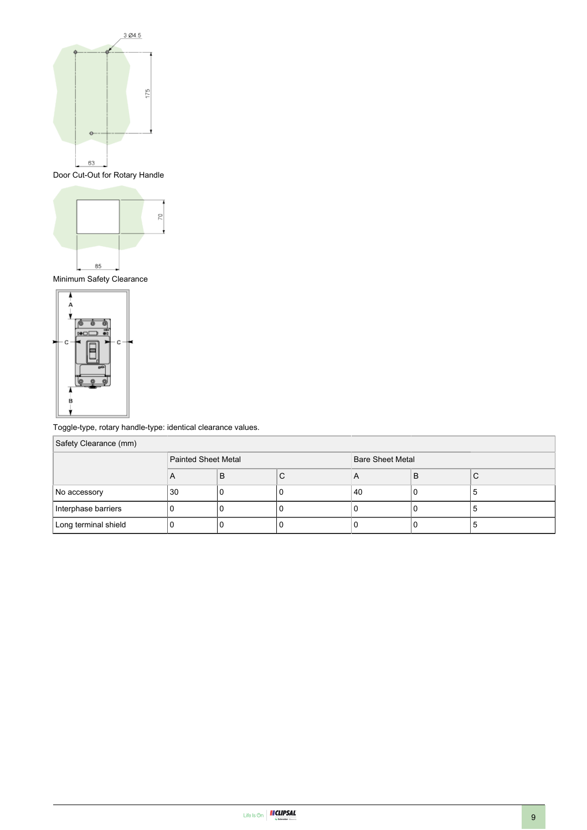

Door Cut-Out for Rotary Handle



Minimum Safety Clearance



Toggle-type, rotary handle-type: identical clearance values.

| Safety Clearance (mm) |                     |   |                         |    |   |   |
|-----------------------|---------------------|---|-------------------------|----|---|---|
|                       | Painted Sheet Metal |   | <b>Bare Sheet Metal</b> |    |   |   |
|                       | A                   | B | C                       | A  | B | С |
| No accessory          | 30                  |   | υ                       | 40 | υ | э |
| Interphase barriers   |                     |   |                         |    |   | J |
| Long terminal shield  |                     |   |                         |    |   |   |